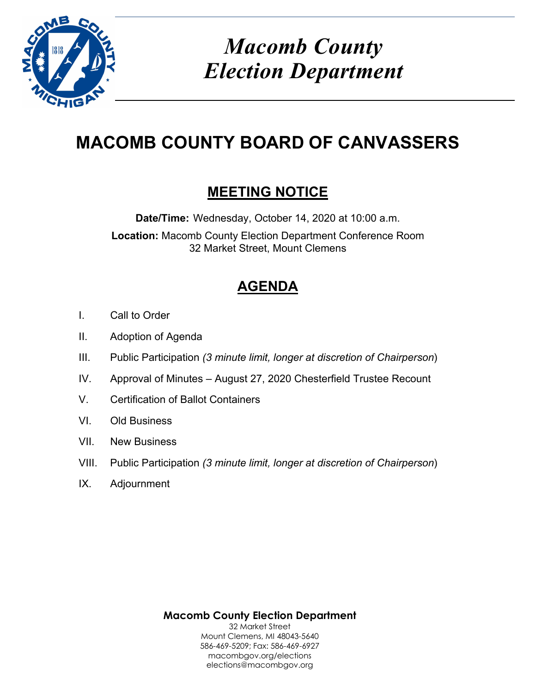

# *Macomb County Election Department*

# **MACOMB COUNTY BOARD OF CANVASSERS**

## **MEETING NOTICE**

**Date/Time:** Wednesday, October 14, 2020 at 10:00 a.m. **Location:** Macomb County Election Department Conference Room 32 Market Street, Mount Clemens

## **AGENDA**

- I. Call to Order
- II. Adoption of Agenda
- III. Public Participation *(3 minute limit, longer at discretion of Chairperson*)
- IV. Approval of Minutes August 27, 2020 Chesterfield Trustee Recount
- V. Certification of Ballot Containers
- VI. Old Business
- VII. New Business
- VIII. Public Participation *(3 minute limit, longer at discretion of Chairperson*)
- IX. Adjournment

**Macomb County Election Department**  32 Market Street Mount Clemens, MI 48043-5640 586-469-5209; Fax: 586-469-6927 macombgov.org/elections elections@macombgov.org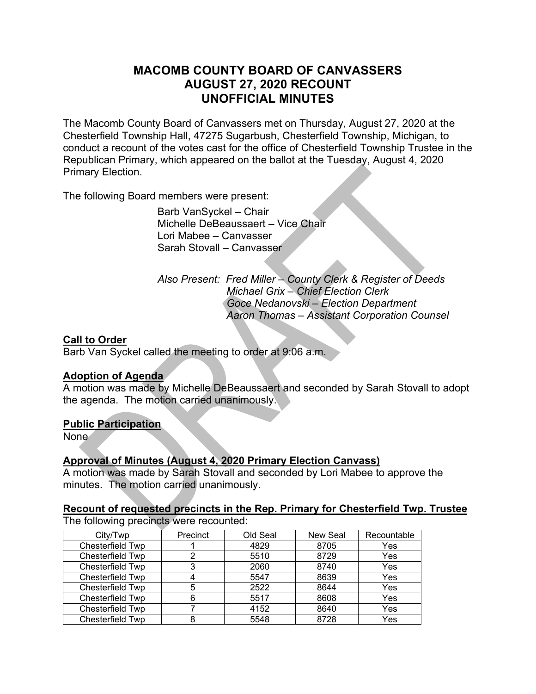### **MACOMB COUNTY BOARD OF CANVASSERS AUGUST 27, 2020 RECOUNT UNOFFICIAL MINUTES**

The Macomb County Board of Canvassers met on Thursday, August 27, 2020 at the Chesterfield Township Hall, 47275 Sugarbush, Chesterfield Township, Michigan, to conduct a recount of the votes cast for the office of Chesterfield Township Trustee in the Republican Primary, which appeared on the ballot at the Tuesday, August 4, 2020 Primary Election.

The following Board members were present:

 Barb VanSyckel – Chair Michelle DeBeaussaert – Vice Chair Lori Mabee – Canvasser Sarah Stovall – Canvasser

 *Also Present: Fred Miller – County Clerk & Register of Deeds Michael Grix – Chief Election Clerk Goce Nedanovski – Election Department Aaron Thomas – Assistant Corporation Counsel* 

#### **Call to Order**

Barb Van Syckel called the meeting to order at 9:06 a.m.

#### **Adoption of Agenda**

A motion was made by Michelle DeBeaussaert and seconded by Sarah Stovall to adopt the agenda. The motion carried unanimously.

#### **Public Participation**

None

#### **Approval of Minutes (August 4, 2020 Primary Election Canvass)**

A motion was made by Sarah Stovall and seconded by Lori Mabee to approve the minutes. The motion carried unanimously.

### **Recount of requested precincts in the Rep. Primary for Chesterfield Twp. Trustee**

The following precincts were recounted:

| City/Twp         | Precinct | Old Seal | <b>New Seal</b> | Recountable |
|------------------|----------|----------|-----------------|-------------|
| Chesterfield Twp |          | 4829     | 8705            | Yes         |
| Chesterfield Twp |          | 5510     | 8729            | Yes         |
| Chesterfield Twp |          | 2060     | 8740            | Yes         |
| Chesterfield Twp |          | 5547     | 8639            | Yes         |
| Chesterfield Twp |          | 2522     | 8644            | Yes         |
| Chesterfield Twp |          | 5517     | 8608            | Yes         |
| Chesterfield Twp |          | 4152     | 8640            | Yes         |
| Chesterfield Twp |          | 5548     | 8728            | Yes         |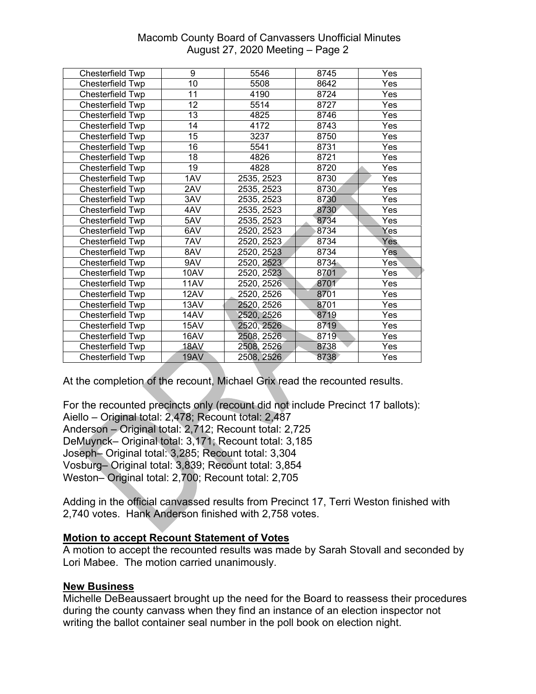#### Macomb County Board of Canvassers Unofficial Minutes August 27, 2020 Meeting – Page 2

| Chesterfield Twp | 9               | 5546       | 8745 | Yes              |
|------------------|-----------------|------------|------|------------------|
| Chesterfield Twp | $\overline{10}$ | 5508       | 8642 | Yes              |
| Chesterfield Twp | 11              | 4190       | 8724 | Yes              |
| Chesterfield Twp | 12              | 5514       | 8727 | Yes              |
| Chesterfield Twp | 13              | 4825       | 8746 | Yes              |
| Chesterfield Twp | 14              | 4172       | 8743 | Yes              |
| Chesterfield Twp | 15              | 3237       | 8750 | Yes              |
| Chesterfield Twp | 16              | 5541       | 8731 | Yes              |
| Chesterfield Twp | 18              | 4826       | 8721 | Yes              |
| Chesterfield Twp | 19              | 4828       | 8720 | Yes              |
| Chesterfield Twp | 1AV             | 2535, 2523 | 8730 | Yes              |
| Chesterfield Twp | 2AV             | 2535, 2523 | 8730 | Yes              |
| Chesterfield Twp | 3AV             | 2535, 2523 | 8730 | Yes              |
| Chesterfield Twp | 4AV             | 2535, 2523 | 8730 | Yes              |
| Chesterfield Twp | 5AV             | 2535, 2523 | 8734 | Yes              |
| Chesterfield Twp | 6AV             | 2520, 2523 | 8734 | Yes              |
| Chesterfield Twp | 7AV             | 2520, 2523 | 8734 | Yes              |
| Chesterfield Twp | 8AV             | 2520, 2523 | 8734 | Yes              |
| Chesterfield Twp | 9AV             | 2520, 2523 | 8734 | Yes <sup>®</sup> |
| Chesterfield Twp | 10AV            | 2520, 2523 | 8701 | Yes              |
| Chesterfield Twp | 11AV            | 2520, 2526 | 8701 | Yes              |
| Chesterfield Twp | 12AV            | 2520, 2526 | 8701 | Yes              |
| Chesterfield Twp | 13AV            | 2520, 2526 | 8701 | Yes              |
| Chesterfield Twp | 14AV            | 2520, 2526 | 8719 | Yes              |
| Chesterfield Twp | 15AV            | 2520, 2526 | 8719 | Yes              |
| Chesterfield Twp | 16AV            | 2508, 2526 | 8719 | Yes              |
| Chesterfield Twp | 18AV            | 2508, 2526 | 8738 | Yes              |
| Chesterfield Twp | 19AV            | 2508, 2526 | 8738 | Yes              |

At the completion of the recount, Michael Grix read the recounted results.

For the recounted precincts only (recount did not include Precinct 17 ballots): Aiello – Original total: 2,478; Recount total: 2,487 Anderson – Original total: 2,712; Recount total: 2,725 DeMuynck– Original total: 3,171; Recount total: 3,185 Joseph– Original total: 3,285; Recount total: 3,304 Vosburg– Original total: 3,839; Recount total: 3,854 Weston– Original total: 2,700; Recount total: 2,705

Adding in the official canvassed results from Precinct 17, Terri Weston finished with 2,740 votes. Hank Anderson finished with 2,758 votes.

#### **Motion to accept Recount Statement of Votes**

A motion to accept the recounted results was made by Sarah Stovall and seconded by Lori Mabee. The motion carried unanimously.

#### **New Business**

Michelle DeBeaussaert brought up the need for the Board to reassess their procedures during the county canvass when they find an instance of an election inspector not writing the ballot container seal number in the poll book on election night.